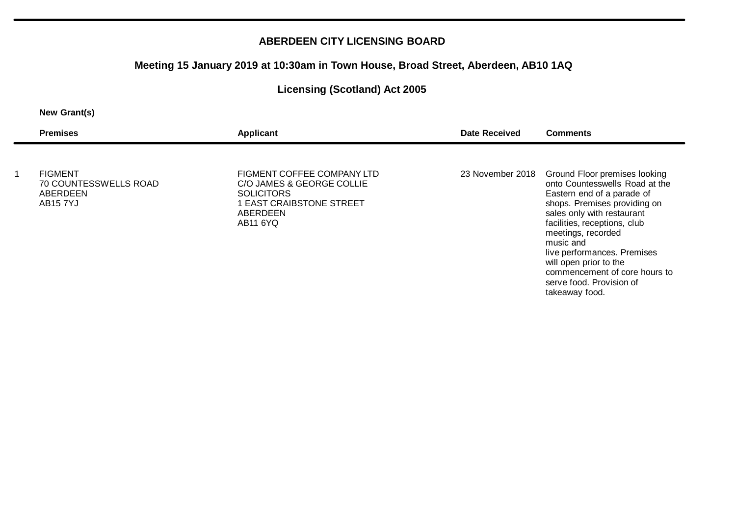### **Meeting 15 January 2019 at 10:30am in Town House, Broad Street, Aberdeen, AB10 1AQ**

# **Licensing (Scotland) Act 2005**

#### **New Grant(s)**

| <b>Premises</b>                                                 | <b>Applicant</b>                                                                                                                 | Date Received    | <b>Comments</b>                                                                                                                                                                                                                                                                                                          |
|-----------------------------------------------------------------|----------------------------------------------------------------------------------------------------------------------------------|------------------|--------------------------------------------------------------------------------------------------------------------------------------------------------------------------------------------------------------------------------------------------------------------------------------------------------------------------|
| <b>FIGMENT</b><br>70 COUNTESSWELLS ROAD<br>ABERDEEN<br>AB15 7YJ | FIGMENT COFFEE COMPANY LTD<br>C/O JAMES & GEORGE COLLIE<br><b>SOLICITORS</b><br>1 EAST CRAIBSTONE STREET<br>ABERDEEN<br>AB11 6YQ | 23 November 2018 | Ground Floor premises looking<br>onto Countesswells Road at the<br>Eastern end of a parade of<br>shops. Premises providing on<br>sales only with restaurant<br>facilities, receptions, club<br>meetings, recorded<br>music and<br>live performances. Premises<br>will open prior to the<br>commencement of core hours to |
|                                                                 |                                                                                                                                  |                  | serve food. Provision of                                                                                                                                                                                                                                                                                                 |

takeaway food.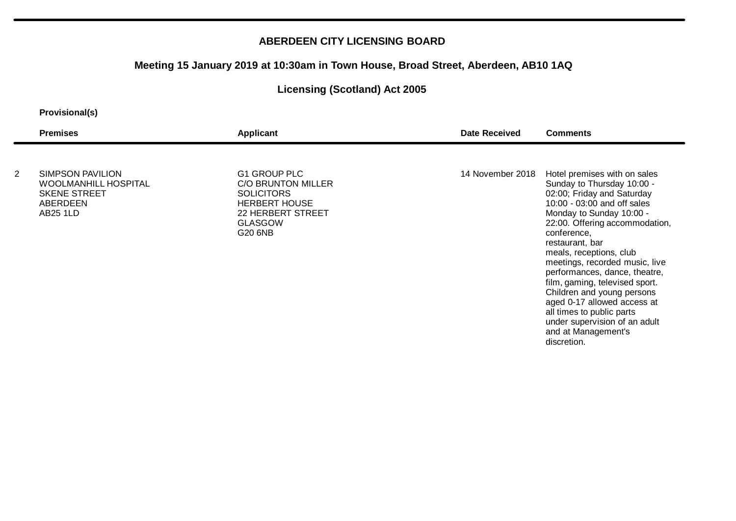# **Meeting 15 January 2019 at 10:30am in Town House, Broad Street, Aberdeen, AB10 1AQ**

# **Licensing (Scotland) Act 2005**

#### **Provisional(s)**

|   | <b>Premises</b>                                                                                              | <b>Applicant</b>                                                                                                                         | <b>Date Received</b> | <b>Comments</b>                                                                                                                                                                                                                                                                               |
|---|--------------------------------------------------------------------------------------------------------------|------------------------------------------------------------------------------------------------------------------------------------------|----------------------|-----------------------------------------------------------------------------------------------------------------------------------------------------------------------------------------------------------------------------------------------------------------------------------------------|
| 2 | <b>SIMPSON PAVILION</b><br><b>WOOLMANHILL HOSPITAL</b><br><b>SKENE STREET</b><br>ABERDEEN<br><b>AB25 1LD</b> | G1 GROUP PLC<br><b>C/O BRUNTON MILLER</b><br><b>SOLICITORS</b><br><b>HERBERT HOUSE</b><br>22 HERBERT STREET<br><b>GLASGOW</b><br>G20 6NB | 14 November 2018     | Hotel premises with on sales<br>Sunday to Thursday 10:00 -<br>02:00; Friday and Saturday<br>10:00 - 03:00 and off sales<br>Monday to Sunday 10:00 -<br>22:00. Offering accommodation,<br>conference,<br>restaurant, bar                                                                       |
|   |                                                                                                              |                                                                                                                                          |                      | meals, receptions, club<br>meetings, recorded music, live<br>performances, dance, theatre,<br>film, gaming, televised sport.<br>Children and young persons<br>aged 0-17 allowed access at<br>all times to public parts<br>under supervision of an adult<br>and at Management's<br>discretion. |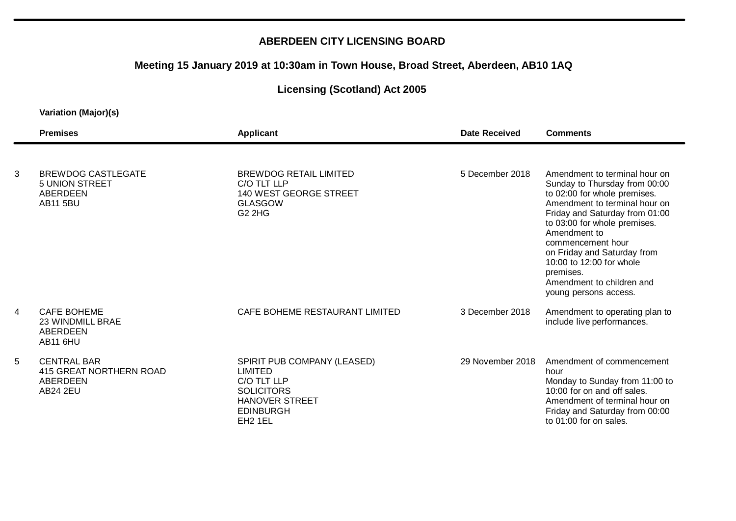# **Meeting 15 January 2019 at 10:30am in Town House, Broad Street, Aberdeen, AB10 1AQ**

# **Licensing (Scotland) Act 2005**

|                          | <b>Premises</b>                                                              | <b>Applicant</b>                                                                                                                                      | <b>Date Received</b> | <b>Comments</b>                                                                                                                                                                                                                                                    |
|--------------------------|------------------------------------------------------------------------------|-------------------------------------------------------------------------------------------------------------------------------------------------------|----------------------|--------------------------------------------------------------------------------------------------------------------------------------------------------------------------------------------------------------------------------------------------------------------|
| 3                        | <b>BREWDOG CASTLEGATE</b><br><b>5 UNION STREET</b><br>ABERDEEN               | <b>BREWDOG RETAIL LIMITED</b><br>C/O TLT LLP<br>140 WEST GEORGE STREET                                                                                | 5 December 2018      | Amendment to terminal hour on<br>Sunday to Thursday from 00:00<br>to 02:00 for whole premises.                                                                                                                                                                     |
|                          | <b>AB11 5BU</b>                                                              | <b>GLASGOW</b><br><b>G2 2HG</b>                                                                                                                       |                      | Amendment to terminal hour on<br>Friday and Saturday from 01:00<br>to 03:00 for whole premises.<br>Amendment to<br>commencement hour<br>on Friday and Saturday from<br>10:00 to 12:00 for whole<br>premises.<br>Amendment to children and<br>young persons access. |
| $\overline{\mathcal{A}}$ | <b>CAFE BOHEME</b><br><b>23 WINDMILL BRAE</b><br>ABERDEEN<br><b>AB11 6HU</b> | CAFE BOHEME RESTAURANT LIMITED                                                                                                                        | 3 December 2018      | Amendment to operating plan to<br>include live performances.                                                                                                                                                                                                       |
| 5                        | <b>CENTRAL BAR</b><br>415 GREAT NORTHERN ROAD<br>ABERDEEN<br><b>AB24 2EU</b> | SPIRIT PUB COMPANY (LEASED)<br><b>LIMITED</b><br>C/O TLT LLP<br><b>SOLICITORS</b><br><b>HANOVER STREET</b><br><b>EDINBURGH</b><br>EH <sub>2</sub> 1EL | 29 November 2018     | Amendment of commencement<br>hour<br>Monday to Sunday from 11:00 to<br>10:00 for on and off sales.<br>Amendment of terminal hour on<br>Friday and Saturday from 00:00<br>to 01:00 for on sales.                                                                    |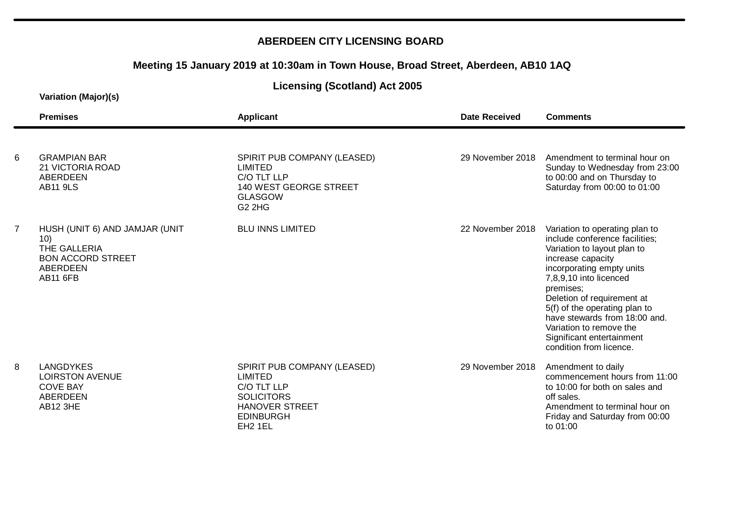### **Meeting 15 January 2019 at 10:30am in Town House, Broad Street, Aberdeen, AB10 1AQ**

### **Licensing (Scotland) Act 2005**

|   | <b>Premises</b>                                                                                                  | <b>Applicant</b>                                                                                                                               | Date Received    | <b>Comments</b>                                                                                                                                                                                                                                                                                                                                                             |
|---|------------------------------------------------------------------------------------------------------------------|------------------------------------------------------------------------------------------------------------------------------------------------|------------------|-----------------------------------------------------------------------------------------------------------------------------------------------------------------------------------------------------------------------------------------------------------------------------------------------------------------------------------------------------------------------------|
| 6 | <b>GRAMPIAN BAR</b><br>21 VICTORIA ROAD<br><b>ABERDEEN</b><br><b>AB11 9LS</b>                                    | SPIRIT PUB COMPANY (LEASED)<br><b>LIMITED</b><br>C/O TLT LLP<br>140 WEST GEORGE STREET<br><b>GLASGOW</b><br><b>G2 2HG</b>                      | 29 November 2018 | Amendment to terminal hour on<br>Sunday to Wednesday from 23:00<br>to 00:00 and on Thursday to<br>Saturday from 00:00 to 01:00                                                                                                                                                                                                                                              |
| 7 | HUSH (UNIT 6) AND JAMJAR (UNIT<br>10)<br>THE GALLERIA<br><b>BON ACCORD STREET</b><br>ABERDEEN<br><b>AB11 6FB</b> | <b>BLU INNS LIMITED</b>                                                                                                                        | 22 November 2018 | Variation to operating plan to<br>include conference facilities;<br>Variation to layout plan to<br>increase capacity<br>incorporating empty units<br>7,8,9,10 into licenced<br>premises;<br>Deletion of requirement at<br>5(f) of the operating plan to<br>have stewards from 18:00 and.<br>Variation to remove the<br>Significant entertainment<br>condition from licence. |
| 8 | <b>LANGDYKES</b><br><b>LOIRSTON AVENUE</b><br><b>COVE BAY</b><br><b>ABERDEEN</b><br>AB12 3HE                     | SPIRIT PUB COMPANY (LEASED)<br>LIMITED<br>C/O TLT LLP<br><b>SOLICITORS</b><br><b>HANOVER STREET</b><br><b>EDINBURGH</b><br>EH <sub>2</sub> 1EL | 29 November 2018 | Amendment to daily<br>commencement hours from 11:00<br>to 10:00 for both on sales and<br>off sales.<br>Amendment to terminal hour on<br>Friday and Saturday from 00:00<br>to 01:00                                                                                                                                                                                          |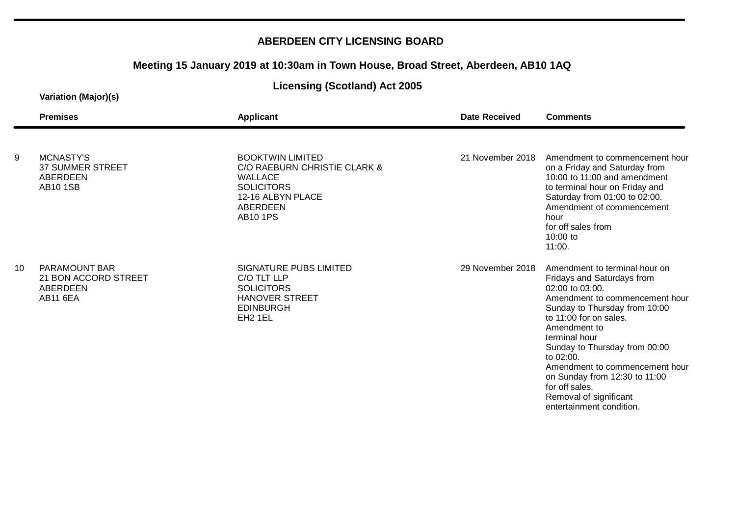# **Meeting 15 January 2019 at 10:30am in Town House, Broad Street, Aberdeen, AB10 1AQ**

### **Licensing (Scotland) Act 2005**

|    | <b>Premises</b>                                                                    | <b>Applicant</b>                                                                                                                                          | Date Received    | <b>Comments</b>                                                                                                                                                                                                                                                                                                                                                                                       |
|----|------------------------------------------------------------------------------------|-----------------------------------------------------------------------------------------------------------------------------------------------------------|------------------|-------------------------------------------------------------------------------------------------------------------------------------------------------------------------------------------------------------------------------------------------------------------------------------------------------------------------------------------------------------------------------------------------------|
| 9  | <b>MCNASTY'S</b><br><b>37 SUMMER STREET</b><br><b>ABERDEEN</b><br><b>AB10 1SB</b>  | <b>BOOKTWIN LIMITED</b><br>C/O RAEBURN CHRISTIE CLARK &<br><b>WALLACE</b><br><b>SOLICITORS</b><br>12-16 ALBYN PLACE<br><b>ABERDEEN</b><br><b>AB10 1PS</b> | 21 November 2018 | Amendment to commencement hour<br>on a Friday and Saturday from<br>10:00 to 11:00 and amendment<br>to terminal hour on Friday and<br>Saturday from 01:00 to 02:00.<br>Amendment of commencement<br>hour<br>for off sales from<br>10:00 to<br>11:00.                                                                                                                                                   |
| 10 | <b>PARAMOUNT BAR</b><br>21 BON ACCORD STREET<br><b>ABERDEEN</b><br><b>AB11 6EA</b> | SIGNATURE PUBS LIMITED<br>C/O TLT LLP<br><b>SOLICITORS</b><br><b>HANOVER STREET</b><br><b>EDINBURGH</b><br>EH <sub>2</sub> 1EL                            | 29 November 2018 | Amendment to terminal hour on<br>Fridays and Saturdays from<br>02:00 to 03:00.<br>Amendment to commencement hour<br>Sunday to Thursday from 10:00<br>to 11:00 for on sales.<br>Amendment to<br>terminal hour<br>Sunday to Thursday from 00:00<br>to 02:00.<br>Amendment to commencement hour<br>on Sunday from 12:30 to 11:00<br>for off sales.<br>Removal of significant<br>entertainment condition. |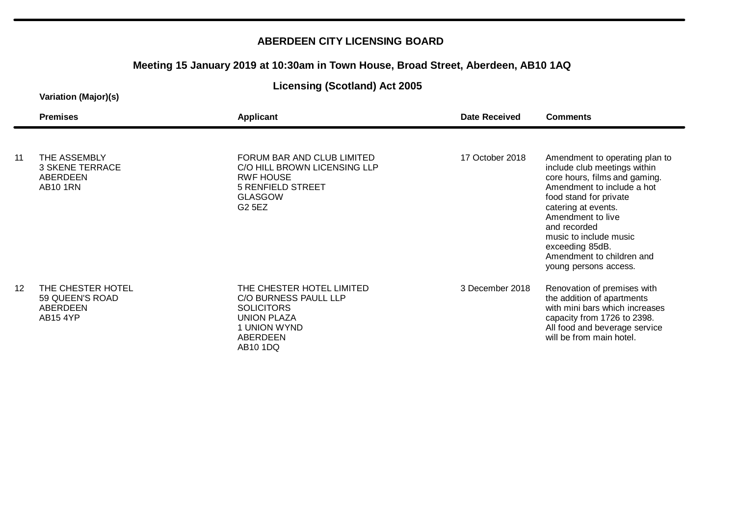### **Meeting 15 January 2019 at 10:30am in Town House, Broad Street, Aberdeen, AB10 1AQ**

### **Licensing (Scotland) Act 2005**

|    | <b>Premises</b>                                                       | Applicant                                                                                                                              | Date Received   | <b>Comments</b>                                                                                                                                                                                                                                                                                                        |
|----|-----------------------------------------------------------------------|----------------------------------------------------------------------------------------------------------------------------------------|-----------------|------------------------------------------------------------------------------------------------------------------------------------------------------------------------------------------------------------------------------------------------------------------------------------------------------------------------|
| 11 | THE ASSEMBLY<br><b>3 SKENE TERRACE</b><br>ABERDEEN<br><b>AB10 1RN</b> | FORUM BAR AND CLUB LIMITED<br>C/O HILL BROWN LICENSING LLP<br><b>RWF HOUSE</b><br><b>5 RENFIELD STREET</b><br><b>GLASGOW</b><br>G2 5EZ | 17 October 2018 | Amendment to operating plan to<br>include club meetings within<br>core hours, films and gaming.<br>Amendment to include a hot<br>food stand for private<br>catering at events.<br>Amendment to live<br>and recorded<br>music to include music<br>exceeding 85dB.<br>Amendment to children and<br>young persons access. |
| 12 | THE CHESTER HOTEL<br>59 QUEEN'S ROAD<br>ABERDEEN<br><b>AB15 4YP</b>   | THE CHESTER HOTEL LIMITED<br>C/O BURNESS PAULL LLP<br><b>SOLICITORS</b><br><b>UNION PLAZA</b><br>1 UNION WYND<br>ABERDEEN<br>AB10 1DQ  | 3 December 2018 | Renovation of premises with<br>the addition of apartments<br>with mini bars which increases<br>capacity from 1726 to 2398.<br>All food and beverage service<br>will be from main hotel.                                                                                                                                |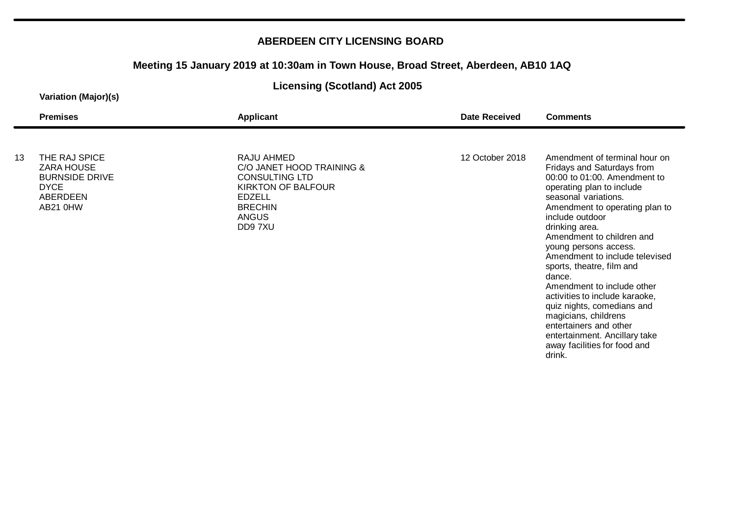# **Meeting 15 January 2019 at 10:30am in Town House, Broad Street, Aberdeen, AB10 1AQ**

### **Licensing (Scotland) Act 2005**

|    | <b>Premises</b>                                                                                    | <b>Applicant</b>                                                                                                                                           | <b>Date Received</b> | <b>Comments</b>                                                                                                                                                                                                                                                                                                           |
|----|----------------------------------------------------------------------------------------------------|------------------------------------------------------------------------------------------------------------------------------------------------------------|----------------------|---------------------------------------------------------------------------------------------------------------------------------------------------------------------------------------------------------------------------------------------------------------------------------------------------------------------------|
| 13 | THE RAJ SPICE<br><b>ZARA HOUSE</b><br><b>BURNSIDE DRIVE</b><br><b>DYCE</b><br>ABERDEEN<br>AB21 0HW | RAJU AHMED<br>C/O JANET HOOD TRAINING &<br><b>CONSULTING LTD</b><br><b>KIRKTON OF BALFOUR</b><br><b>EDZELL</b><br><b>BRECHIN</b><br><b>ANGUS</b><br>DD97XU | 12 October 2018      | Amendment of terminal hour on<br>Fridays and Saturdays from<br>00:00 to 01:00. Amendment to<br>operating plan to include<br>seasonal variations.<br>Amendment to operating plan to<br>include outdoor<br>drinking area.<br>Amendment to children and                                                                      |
|    |                                                                                                    |                                                                                                                                                            |                      | young persons access.<br>Amendment to include televised<br>sports, theatre, film and<br>dance.<br>Amendment to include other<br>activities to include karaoke,<br>quiz nights, comedians and<br>magicians, childrens<br>entertainers and other<br>entertainment. Ancillary take<br>away facilities for food and<br>drink. |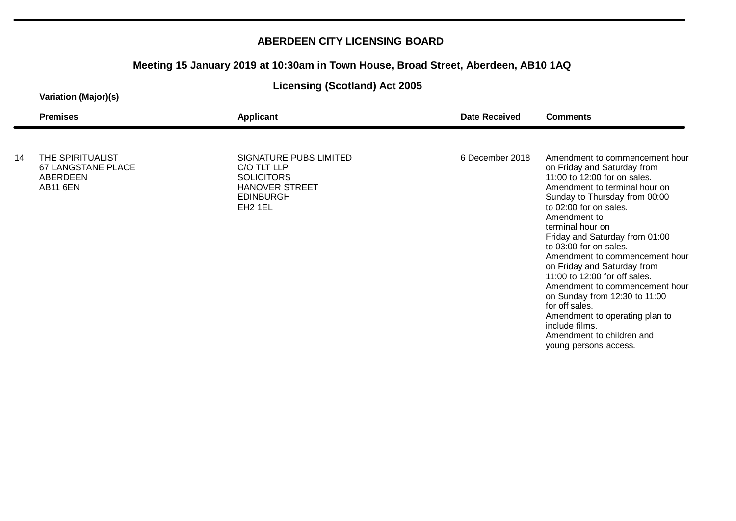# **Meeting 15 January 2019 at 10:30am in Town House, Broad Street, Aberdeen, AB10 1AQ**

### **Licensing (Scotland) Act 2005**

|    | <b>Premises</b>                                                       | Applicant                                                                                                                      | <b>Date Received</b> | <b>Comments</b>                                                                                                                                                                                                                                                                                                         |
|----|-----------------------------------------------------------------------|--------------------------------------------------------------------------------------------------------------------------------|----------------------|-------------------------------------------------------------------------------------------------------------------------------------------------------------------------------------------------------------------------------------------------------------------------------------------------------------------------|
| 14 | THE SPIRITUALIST<br>67 LANGSTANE PLACE<br>ABERDEEN<br><b>AB11 6EN</b> | SIGNATURE PUBS LIMITED<br>C/O TLT LLP<br><b>SOLICITORS</b><br><b>HANOVER STREET</b><br><b>EDINBURGH</b><br>EH <sub>2</sub> 1EL | 6 December 2018      | Amendment to commencement hour<br>on Friday and Saturday from<br>11:00 to 12:00 for on sales.<br>Amendment to terminal hour on<br>Sunday to Thursday from 00:00<br>to 02:00 for on sales.<br>Amendment to<br>terminal hour on<br>Friday and Saturday from 01:00                                                         |
|    |                                                                       |                                                                                                                                |                      | to 03:00 for on sales.<br>Amendment to commencement hour<br>on Friday and Saturday from<br>11:00 to 12:00 for off sales.<br>Amendment to commencement hour<br>on Sunday from 12:30 to 11:00<br>for off sales.<br>Amendment to operating plan to<br>include films.<br>Amendment to children and<br>young persons access. |